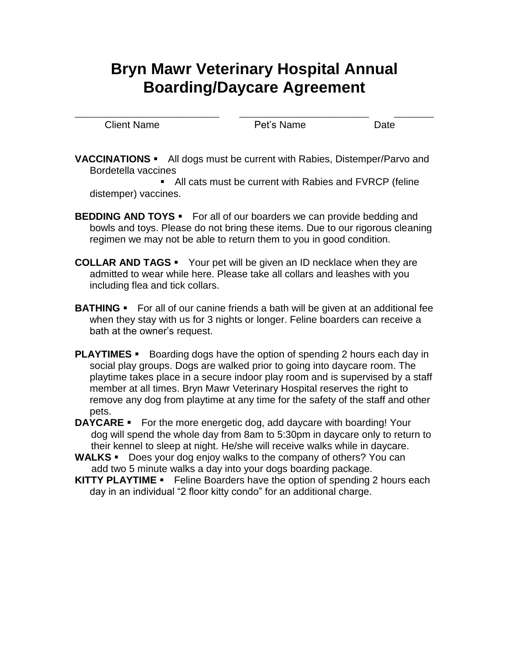# **Bryn Mawr Veterinary Hospital Annual Boarding/Daycare Agreement**

\_\_\_\_\_\_\_\_\_\_\_\_\_\_\_\_\_\_\_\_\_\_\_\_\_\_\_\_\_ \_\_\_\_\_\_\_\_\_\_\_\_\_\_\_\_\_\_\_\_\_\_\_\_\_\_ \_\_\_\_\_\_\_\_ Client Name Pet's Name Date

**VACCINATIONS** • All dogs must be current with Rabies, Distemper/Parvo and Bordetella vaccines

All cats must be current with Rabies and FVRCP (feline distemper) vaccines.

- **BEDDING AND TOYS** For all of our boarders we can provide bedding and bowls and toys. Please do not bring these items. Due to our rigorous cleaning regimen we may not be able to return them to you in good condition.
- **COLLAR AND TAGS** Your pet will be given an ID necklace when they are admitted to wear while here. Please take all collars and leashes with you including flea and tick collars.
- **BATHING** For all of our canine friends a bath will be given at an additional fee when they stay with us for 3 nights or longer. Feline boarders can receive a bath at the owner's request.
- **PLAYTIMES Boarding dogs have the option of spending 2 hours each day in** social play groups. Dogs are walked prior to going into daycare room. The playtime takes place in a secure indoor play room and is supervised by a staff member at all times. Bryn Mawr Veterinary Hospital reserves the right to remove any dog from playtime at any time for the safety of the staff and other pets.
- **DAYCARE** For the more energetic dog, add daycare with boarding! Your dog will spend the whole day from 8am to 5:30pm in daycare only to return to their kennel to sleep at night. He/she will receive walks while in daycare.
- WALKS **Does your dog enjoy walks to the company of others? You can** add two 5 minute walks a day into your dogs boarding package.
- **KITTY PLAYTIME •** Feline Boarders have the option of spending 2 hours each day in an individual "2 floor kitty condo" for an additional charge.